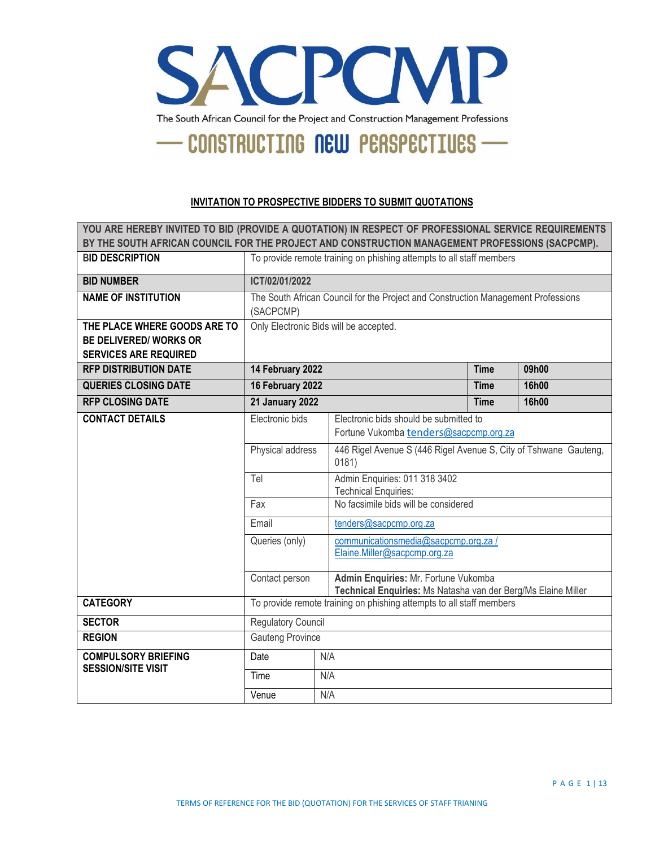

#### **INVITATION TO PROSPECTIVE BIDDERS TO SUBMIT QUOTATIONS**

| YOU ARE HEREBY INVITED TO BID (PROVIDE A QUOTATION) IN RESPECT OF PROFESSIONAL SERVICE REQUIREMENTS<br>BY THE SOUTH AFRICAN COUNCIL FOR THE PROJECT AND CONSTRUCTION MANAGEMENT PROFESSIONS (SACPCMP). |                                                                                                |     |                                                                                                       |      |       |  |
|--------------------------------------------------------------------------------------------------------------------------------------------------------------------------------------------------------|------------------------------------------------------------------------------------------------|-----|-------------------------------------------------------------------------------------------------------|------|-------|--|
| <b>BID DESCRIPTION</b>                                                                                                                                                                                 | To provide remote training on phishing attempts to all staff members                           |     |                                                                                                       |      |       |  |
| <b>BID NUMBER</b>                                                                                                                                                                                      | ICT/02/01/2022                                                                                 |     |                                                                                                       |      |       |  |
| <b>NAME OF INSTITUTION</b>                                                                                                                                                                             | The South African Council for the Project and Construction Management Professions<br>(SACPCMP) |     |                                                                                                       |      |       |  |
| THE PLACE WHERE GOODS ARE TO<br><b>BE DELIVERED/ WORKS OR</b><br><b>SERVICES ARE REQUIRED</b>                                                                                                          | Only Electronic Bids will be accepted.                                                         |     |                                                                                                       |      |       |  |
| <b>RFP DISTRIBUTION DATE</b>                                                                                                                                                                           | 14 February 2022                                                                               |     |                                                                                                       | Time | 09h00 |  |
| <b>QUERIES CLOSING DATE</b>                                                                                                                                                                            | 16 February 2022<br>16h00<br><b>Time</b>                                                       |     |                                                                                                       |      |       |  |
| <b>RFP CLOSING DATE</b>                                                                                                                                                                                | <b>21 January 2022</b><br>16h00<br><b>Time</b>                                                 |     |                                                                                                       |      |       |  |
| <b>CONTACT DETAILS</b>                                                                                                                                                                                 | Electronic bids                                                                                |     | Electronic bids should be submitted to<br>Fortune Vukomba tenders@sacpcmp.org.za                      |      |       |  |
|                                                                                                                                                                                                        | Physical address                                                                               |     | 446 Rigel Avenue S (446 Rigel Avenue S, City of Tshwane Gauteng,<br>0181)                             |      |       |  |
|                                                                                                                                                                                                        | Tel                                                                                            |     | Admin Enquiries: 011 318 3402<br><b>Technical Enquiries:</b>                                          |      |       |  |
|                                                                                                                                                                                                        | Fax                                                                                            |     | No facsimile bids will be considered                                                                  |      |       |  |
|                                                                                                                                                                                                        | Email                                                                                          |     | tenders@sacpcmp.org.za                                                                                |      |       |  |
|                                                                                                                                                                                                        | Queries (only)                                                                                 |     | communicationsmedia@sacpcmp.org.za/<br>Elaine.Miller@sacpcmp.org.za                                   |      |       |  |
|                                                                                                                                                                                                        | Contact person                                                                                 |     | Admin Enquiries: Mr. Fortune Vukomba<br>Technical Enquiries: Ms Natasha van der Berg/Ms Elaine Miller |      |       |  |
| <b>CATEGORY</b>                                                                                                                                                                                        | To provide remote training on phishing attempts to all staff members                           |     |                                                                                                       |      |       |  |
| <b>SECTOR</b>                                                                                                                                                                                          | Regulatory Council                                                                             |     |                                                                                                       |      |       |  |
| <b>REGION</b>                                                                                                                                                                                          | <b>Gauteng Province</b>                                                                        |     |                                                                                                       |      |       |  |
| <b>COMPULSORY BRIEFING</b>                                                                                                                                                                             | Date                                                                                           | N/A |                                                                                                       |      |       |  |
| <b>SESSION/SITE VISIT</b>                                                                                                                                                                              | Time                                                                                           | N/A |                                                                                                       |      |       |  |
|                                                                                                                                                                                                        | Venue                                                                                          | N/A |                                                                                                       |      |       |  |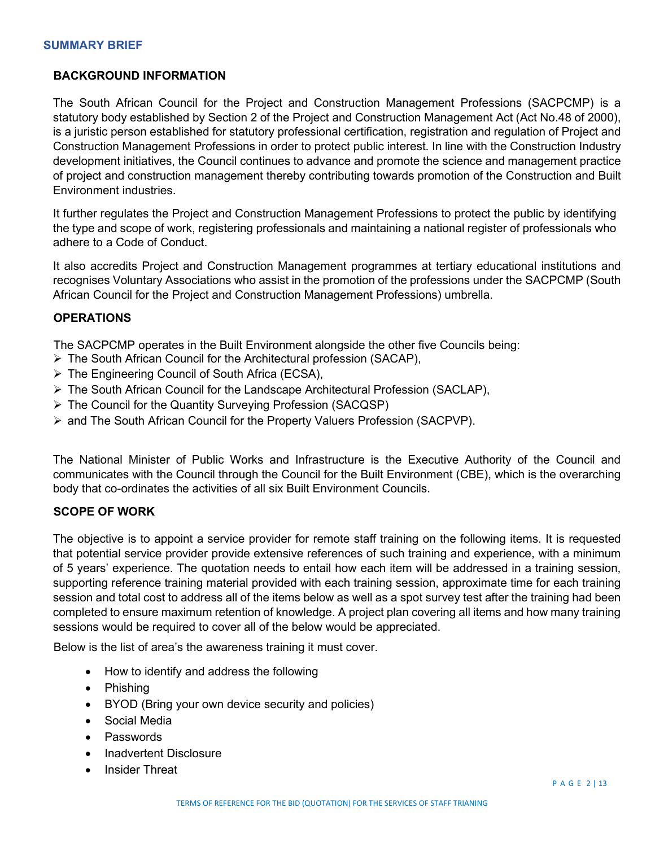# **BACKGROUND INFORMATION**

The South African Council for the Project and Construction Management Professions (SACPCMP) is a statutory body established by Section 2 of the Project and Construction Management Act (Act No.48 of 2000), is a juristic person established for statutory professional certification, registration and regulation of Project and Construction Management Professions in order to protect public interest. In line with the Construction Industry development initiatives, the Council continues to advance and promote the science and management practice of project and construction management thereby contributing towards promotion of the Construction and Built Environment industries.

It further regulates the Project and Construction Management Professions to protect the public by identifying the type and scope of work, registering professionals and maintaining a national register of professionals who adhere to a Code of Conduct.

It also accredits Project and Construction Management programmes at tertiary educational institutions and recognises Voluntary Associations who assist in the promotion of the professions under the SACPCMP (South African Council for the Project and Construction Management Professions) umbrella.

#### **OPERATIONS**

The SACPCMP operates in the Built Environment alongside the other five Councils being:

- The South African Council for the Architectural profession (SACAP),
- $\triangleright$  The Engineering Council of South Africa (ECSA),
- $\triangleright$  The South African Council for the Landscape Architectural Profession (SACLAP),
- The Council for the Quantity Surveying Profession (SACQSP)
- $\triangleright$  and The South African Council for the Property Valuers Profession (SACPVP).

The National Minister of Public Works and Infrastructure is the Executive Authority of the Council and communicates with the Council through the Council for the Built Environment (CBE), which is the overarching body that co-ordinates the activities of all six Built Environment Councils.

#### **SCOPE OF WORK**

The objective is to appoint a service provider for remote staff training on the following items. It is requested that potential service provider provide extensive references of such training and experience, with a minimum of 5 years' experience. The quotation needs to entail how each item will be addressed in a training session, supporting reference training material provided with each training session, approximate time for each training session and total cost to address all of the items below as well as a spot survey test after the training had been completed to ensure maximum retention of knowledge. A project plan covering all items and how many training sessions would be required to cover all of the below would be appreciated.

Below is the list of area's the awareness training it must cover.

- How to identify and address the following
- Phishing
- BYOD (Bring your own device security and policies)
- Social Media
- Passwords
- Inadvertent Disclosure
- Insider Threat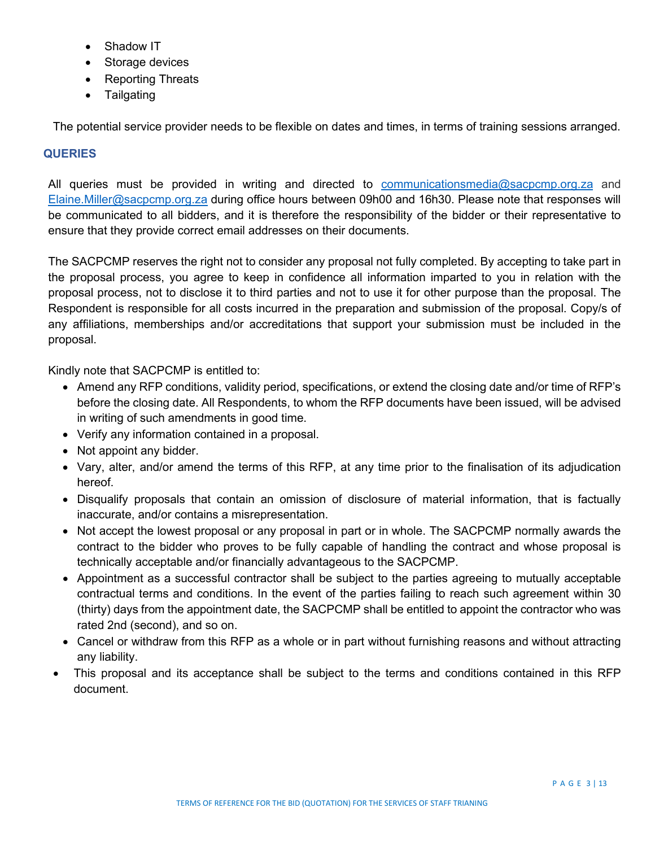- Shadow IT
- Storage devices
- Reporting Threats
- **Tailgating**

The potential service provider needs to be flexible on dates and times, in terms of training sessions arranged.

#### **QUERIES**

All queries must be provided in writing and directed to [communicationsmedia@sacpcmp.org.za](mailto:communicationsmedia@sacpcmp.org.za) and [Elaine.Miller@sacpcmp.org.za](mailto:Elaine.Miller@sacpcmp.org.za) during office hours between 09h00 and 16h30. Please note that responses will be communicated to all bidders, and it is therefore the responsibility of the bidder or their representative to ensure that they provide correct email addresses on their documents.

The SACPCMP reserves the right not to consider any proposal not fully completed. By accepting to take part in the proposal process, you agree to keep in confidence all information imparted to you in relation with the proposal process, not to disclose it to third parties and not to use it for other purpose than the proposal. The Respondent is responsible for all costs incurred in the preparation and submission of the proposal. Copy/s of any affiliations, memberships and/or accreditations that support your submission must be included in the proposal.

Kindly note that SACPCMP is entitled to:

- Amend any RFP conditions, validity period, specifications, or extend the closing date and/or time of RFP's before the closing date. All Respondents, to whom the RFP documents have been issued, will be advised in writing of such amendments in good time.
- Verify any information contained in a proposal.
- Not appoint any bidder.
- Vary, alter, and/or amend the terms of this RFP, at any time prior to the finalisation of its adjudication hereof.
- Disqualify proposals that contain an omission of disclosure of material information, that is factually inaccurate, and/or contains a misrepresentation.
- Not accept the lowest proposal or any proposal in part or in whole. The SACPCMP normally awards the contract to the bidder who proves to be fully capable of handling the contract and whose proposal is technically acceptable and/or financially advantageous to the SACPCMP.
- Appointment as a successful contractor shall be subject to the parties agreeing to mutually acceptable contractual terms and conditions. In the event of the parties failing to reach such agreement within 30 (thirty) days from the appointment date, the SACPCMP shall be entitled to appoint the contractor who was rated 2nd (second), and so on.
- Cancel or withdraw from this RFP as a whole or in part without furnishing reasons and without attracting any liability.
- This proposal and its acceptance shall be subject to the terms and conditions contained in this RFP document.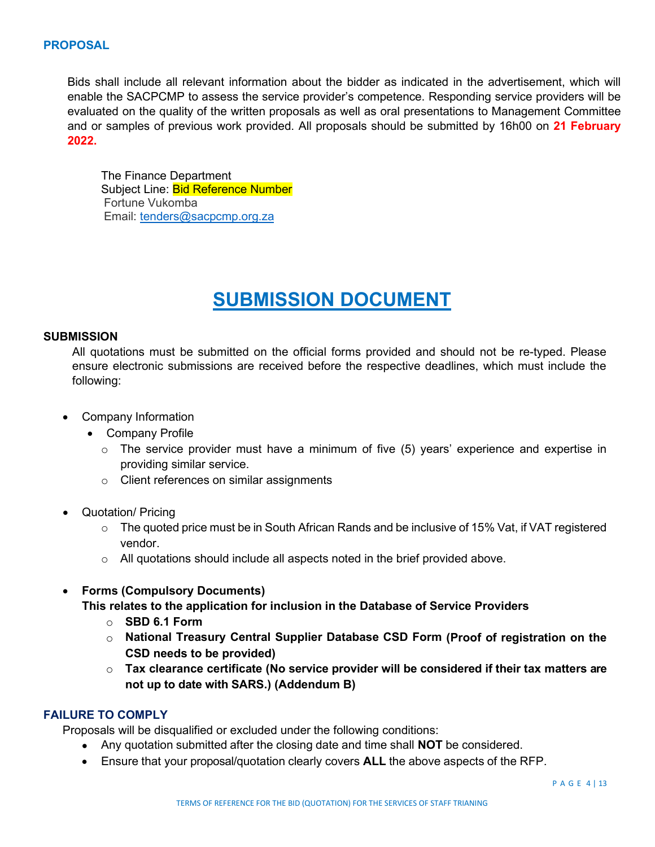Bids shall include all relevant information about the bidder as indicated in the advertisement, which will enable the SACPCMP to assess the service provider's competence. Responding service providers will be evaluated on the quality of the written proposals as well as oral presentations to Management Committee and or samples of previous work provided. All proposals should be submitted by 16h00 on **21 February 2022.** 

The Finance Department Subject Line: **Bid Reference Number** Fortune Vukomba Email: [tenders@sacpcmp.org.za](mailto:tenders@sacpcmp.org.za)

# **SUBMISSION DOCUMENT**

#### **SUBMISSION**

All quotations must be submitted on the official forms provided and should not be re-typed. Please ensure electronic submissions are received before the respective deadlines, which must include the following:

- Company Information
	- Company Profile
		- $\circ$  The service provider must have a minimum of five (5) years' experience and expertise in providing similar service.
		- o Client references on similar assignments
- Quotation/ Pricing
	- $\circ$  The quoted price must be in South African Rands and be inclusive of 15% Vat, if VAT registered vendor.
	- $\circ$  All quotations should include all aspects noted in the brief provided above.
- **Forms (Compulsory Documents)**

**This relates to the application for inclusion in the Database of Service Providers**

- o **SBD 6.1 Form**
- o **National Treasury Central Supplier Database CSD Form (Proof of registration on the CSD needs to be provided)**
- o **Tax clearance certificate (No service provider will be considered if their tax matters are not up to date with SARS.) (Addendum B)**

# **FAILURE TO COMPLY**

Proposals will be disqualified or excluded under the following conditions:

- Any quotation submitted after the closing date and time shall **NOT** be considered.
- Ensure that your proposal/quotation clearly covers **ALL** the above aspects of the RFP.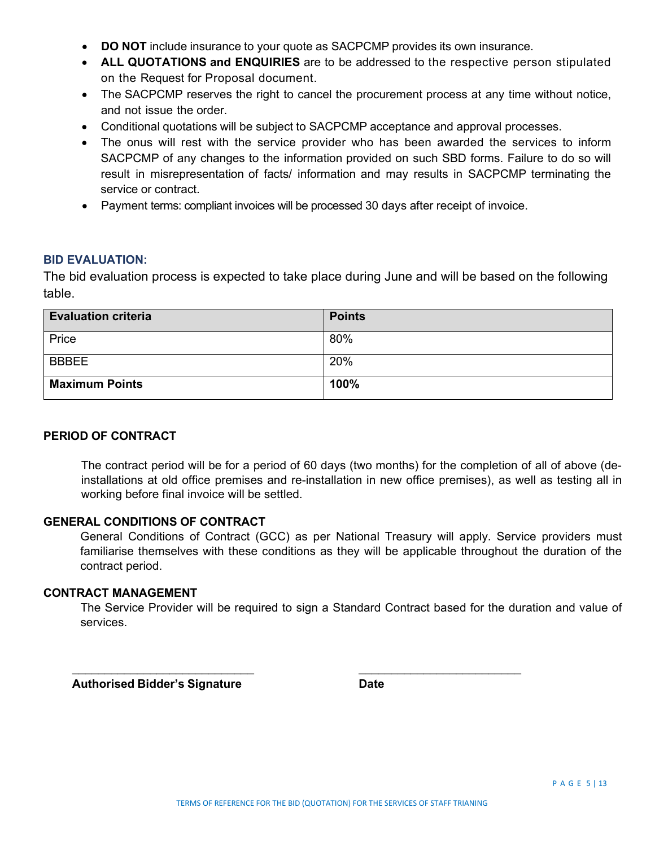- **DO NOT** include insurance to your quote as SACPCMP provides its own insurance.
- **ALL QUOTATIONS and ENQUIRIES** are to be addressed to the respective person stipulated on the Request for Proposal document.
- The SACPCMP reserves the right to cancel the procurement process at any time without notice, and not issue the order.
- Conditional quotations will be subject to SACPCMP acceptance and approval processes.
- The onus will rest with the service provider who has been awarded the services to inform SACPCMP of any changes to the information provided on such SBD forms. Failure to do so will result in misrepresentation of facts/ information and may results in SACPCMP terminating the service or contract.
- Payment terms: compliant invoices will be processed 30 days after receipt of invoice.

#### **BID EVALUATION:**

The bid evaluation process is expected to take place during June and will be based on the following table.

| <b>Evaluation criteria</b> | <b>Points</b> |
|----------------------------|---------------|
| Price                      | 80%           |
| <b>BBBEE</b>               | 20%           |
| <b>Maximum Points</b>      | 100%          |

## **PERIOD OF CONTRACT**

The contract period will be for a period of 60 days (two months) for the completion of all of above (deinstallations at old office premises and re-installation in new office premises), as well as testing all in working before final invoice will be settled.

#### **GENERAL CONDITIONS OF CONTRACT**

General Conditions of Contract (GCC) as per National Treasury will apply. Service providers must familiarise themselves with these conditions as they will be applicable throughout the duration of the contract period.

#### **CONTRACT MANAGEMENT**

The Service Provider will be required to sign a Standard Contract based for the duration and value of services.

 **Authorised Bidder's Signature Date**

 $\overline{\phantom{a}}$  ,  $\overline{\phantom{a}}$  ,  $\overline{\phantom{a}}$  ,  $\overline{\phantom{a}}$  ,  $\overline{\phantom{a}}$  ,  $\overline{\phantom{a}}$  ,  $\overline{\phantom{a}}$  ,  $\overline{\phantom{a}}$  ,  $\overline{\phantom{a}}$  ,  $\overline{\phantom{a}}$  ,  $\overline{\phantom{a}}$  ,  $\overline{\phantom{a}}$  ,  $\overline{\phantom{a}}$  ,  $\overline{\phantom{a}}$  ,  $\overline{\phantom{a}}$  ,  $\overline{\phantom{a}}$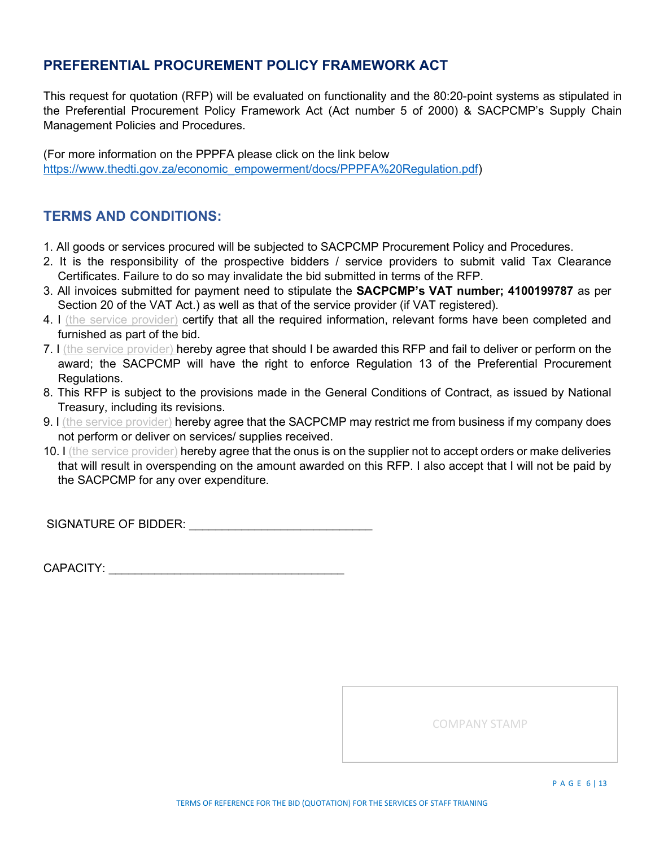# **PREFERENTIAL PROCUREMENT POLICY FRAMEWORK ACT**

This request for quotation (RFP) will be evaluated on functionality and the 80:20-point systems as stipulated in the Preferential Procurement Policy Framework Act (Act number 5 of 2000) & SACPCMP's Supply Chain Management Policies and Procedures.

(For more information on the PPPFA please click on the link below [https://www.thedti.gov.za/economic\\_empowerment/docs/PPPFA%20Regulation.pdf\)](https://www.thedti.gov.za/economic_empowerment/docs/PPPFA%20Regulation.pdf)

# **TERMS AND CONDITIONS:**

- 1. All goods or services procured will be subjected to SACPCMP Procurement Policy and Procedures.
- 2. It is the responsibility of the prospective bidders / service providers to submit valid Tax Clearance Certificates. Failure to do so may invalidate the bid submitted in terms of the RFP.
- 3. All invoices submitted for payment need to stipulate the **SACPCMP's VAT number; 4100199787** as per Section 20 of the VAT Act.) as well as that of the service provider (if VAT registered).
- 4. I (the service provider) certify that all the required information, relevant forms have been completed and furnished as part of the bid.
- 7. I (the service provider) hereby agree that should I be awarded this RFP and fail to deliver or perform on the award; the SACPCMP will have the right to enforce Regulation 13 of the Preferential Procurement Regulations.
- 8. This RFP is subject to the provisions made in the General Conditions of Contract, as issued by National Treasury, including its revisions.
- 9. I (the service provider) hereby agree that the SACPCMP may restrict me from business if my company does not perform or deliver on services/ supplies received.
- 10. I (the service provider) hereby agree that the onus is on the supplier not to accept orders or make deliveries that will result in overspending on the amount awarded on this RFP. I also accept that I will not be paid by the SACPCMP for any over expenditure.

SIGNATURE OF BIDDER: **WE are all that the set of the set of the set of the set of the set of the set of the set of the set of the set of the set of the set of the set of the set of the set of the set of the set of the set** 

CAPACITY: \_\_\_\_\_\_\_\_\_\_\_\_\_\_\_\_\_\_\_\_\_\_\_\_\_\_\_\_\_\_\_\_\_\_\_\_

COMPANY STAMP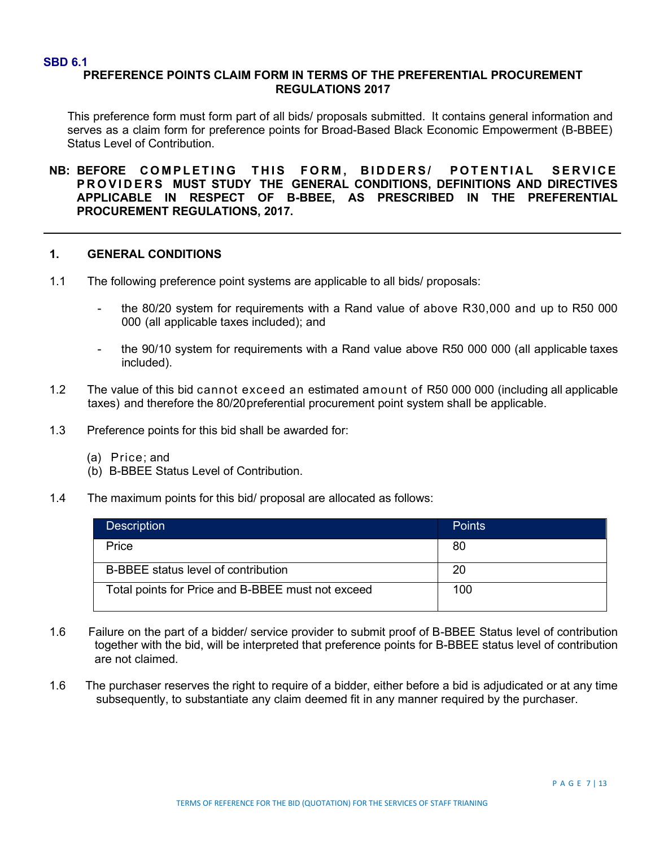#### **SBD 6.1**

## **PREFERENCE POINTS CLAIM FORM IN TERMS OF THE PREFERENTIAL PROCUREMENT REGULATIONS 2017**

This preference form must form part of all bids/ proposals submitted. It contains general information and serves as a claim form for preference points for Broad-Based Black Economic Empowerment (B-BBEE) Status Level of Contribution.

**NB: BEFORE COMPLETING THIS FORM , BIDDERS/ POTENTIAL SERVICE PROVIDERS MUST STUDY THE GENERAL CONDITIONS, DEFINITIONS AND DIRECTIVES APPLICABLE IN RESPECT OF B-BBEE, AS PRESCRIBED IN THE PREFERENTIAL PROCUREMENT REGULATIONS, 2017.**

#### **1. GENERAL CONDITIONS**

- 1.1 The following preference point systems are applicable to all bids/ proposals:
	- the 80/20 system for requirements with a Rand value of above R30,000 and up to R50 000 000 (all applicable taxes included); and
	- the 90/10 system for requirements with a Rand value above R50 000 000 (all applicable taxes included).
- 1.2 The value of this bid cannot exceed an estimated amount of R50 000 000 (including all applicable taxes) and therefore the 80/20preferential procurement point system shall be applicable.
- 1.3 Preference points for this bid shall be awarded for:
	- (a) Price; and
	- (b) B-BBEE Status Level of Contribution.
- 1.4 The maximum points for this bid/ proposal are allocated as follows:

| <b>Description</b>                                | <b>Points</b> |
|---------------------------------------------------|---------------|
| Price                                             | 80            |
| B-BBEE status level of contribution               | 20            |
| Total points for Price and B-BBEE must not exceed | 100           |

- 1.6 Failure on the part of a bidder/ service provider to submit proof of B-BBEE Status level of contribution together with the bid, will be interpreted that preference points for B-BBEE status level of contribution are not claimed.
- 1.6 The purchaser reserves the right to require of a bidder, either before a bid is adjudicated or at any time subsequently, to substantiate any claim deemed fit in any manner required by the purchaser.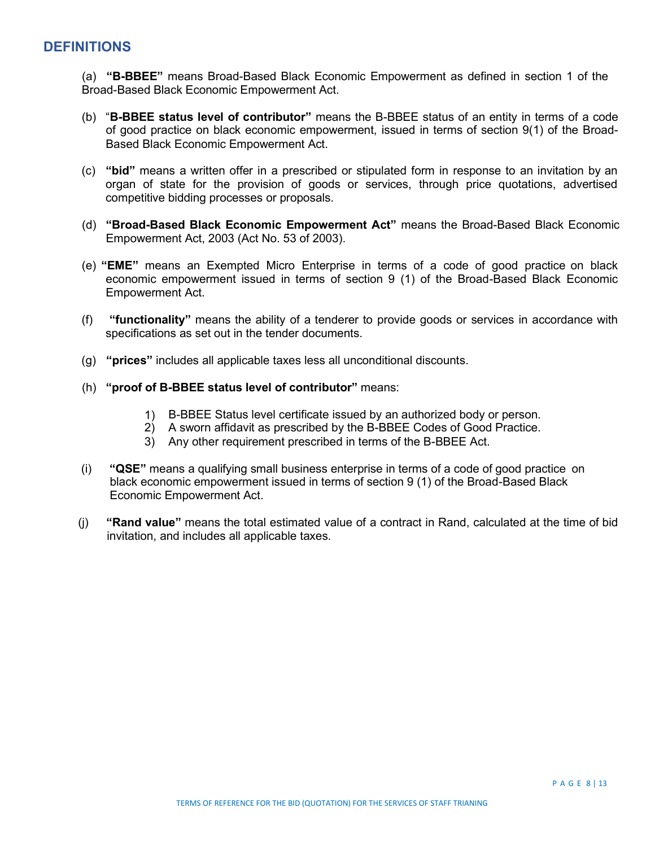# **DEFINITIONS**

(a) **"B-BBEE"** means Broad-Based Black Economic Empowerment as defined in section 1 of the Broad-Based Black Economic Empowerment Act.

- (b) "**B-BBEE status level of contributor"** means the B-BBEE status of an entity in terms of a code of good practice on black economic empowerment, issued in terms of section 9(1) of the Broad-Based Black Economic Empowerment Act.
- (c) **"bid"** means a written offer in a prescribed or stipulated form in response to an invitation by an organ of state for the provision of goods or services, through price quotations, advertised competitive bidding processes or proposals.
- (d) **"Broad-Based Black Economic Empowerment Act"** means the Broad-Based Black Economic Empowerment Act, 2003 (Act No. 53 of 2003).
- (e) **"EME"** means an Exempted Micro Enterprise in terms of a code of good practice on black economic empowerment issued in terms of section 9 (1) of the Broad-Based Black Economic Empowerment Act.
- (f) **"functionality"** means the ability of a tenderer to provide goods or services in accordance with specifications as set out in the tender documents.
- (g) **"prices"** includes all applicable taxes less all unconditional discounts.
- (h) **"proof of B-BBEE status level of contributor"** means:
	- 1) B-BBEE Status level certificate issued by an authorized body or person.
	- 2) A sworn affidavit as prescribed by the B-BBEE Codes of Good Practice.
	- 3) Any other requirement prescribed in terms of the B-BBEE Act.
- (i) **"QSE"** means a qualifying small business enterprise in terms of a code of good practice on black economic empowerment issued in terms of section 9 (1) of the Broad-Based Black Economic Empowerment Act.
- (j) **"Rand value"** means the total estimated value of a contract in Rand, calculated at the time of bid invitation, and includes all applicable taxes.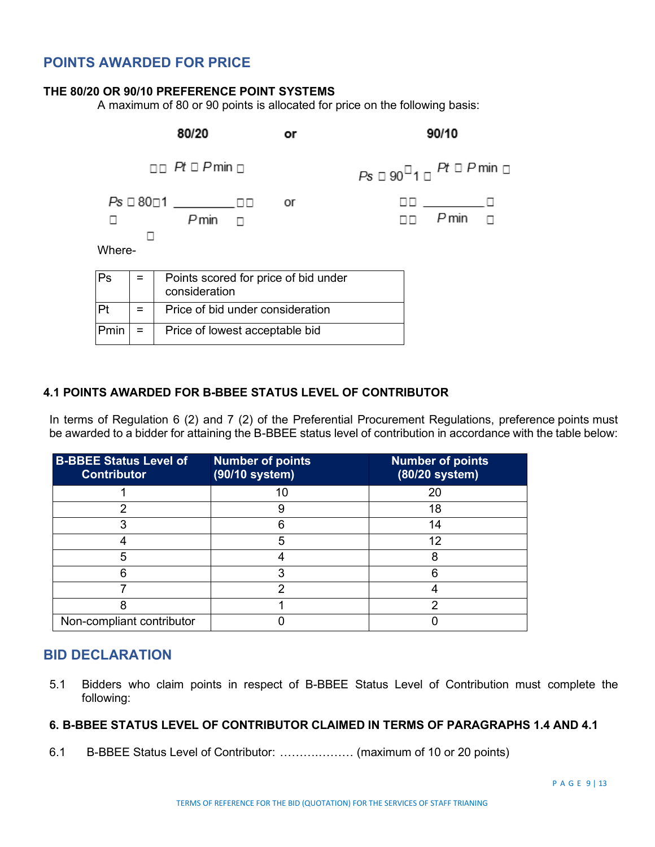# **POINTS AWARDED FOR PRICE**

#### **THE 80/20 OR 90/10 PREFERENCE POINT SYSTEMS**

A maximum of 80 or 90 points is allocated for price on the following basis:

|        |     | 80/20                                                 | or | 90/10                                            |  |
|--------|-----|-------------------------------------------------------|----|--------------------------------------------------|--|
|        |     | $\Box$ $Pt \Box P$ min $\Box$                         |    | $Ps \Box 90^{\Box}1 \Box$ Pt $\Box$ P min $\Box$ |  |
| Where- |     | Pmin                                                  | or | 00 <u>- Ivan I</u><br>$P$ min $\Box$             |  |
| Ps     |     | Points scored for price of bid under<br>consideration |    |                                                  |  |
| Pt     | $=$ | Price of bid under consideration                      |    |                                                  |  |
| Pmin   | $=$ | Price of lowest acceptable bid                        |    |                                                  |  |

#### **4.1 POINTS AWARDED FOR B-BBEE STATUS LEVEL OF CONTRIBUTOR**

In terms of Regulation 6 (2) and 7 (2) of the Preferential Procurement Regulations, preference points must be awarded to a bidder for attaining the B-BBEE status level of contribution in accordance with the table below:

| <b>B-BBEE Status Level of</b><br><b>Contributor</b> | <b>Number of points</b><br>(90/10 system) | <b>Number of points</b><br>(80/20 system) |
|-----------------------------------------------------|-------------------------------------------|-------------------------------------------|
|                                                     |                                           | 20                                        |
| ◠                                                   | 9                                         | 18                                        |
|                                                     |                                           | 14                                        |
|                                                     | 5                                         | 12                                        |
| 5                                                   |                                           | 8                                         |
|                                                     |                                           |                                           |
|                                                     | っ                                         |                                           |
|                                                     |                                           |                                           |
| Non-compliant contributor                           |                                           |                                           |

# **BID DECLARATION**

5.1 Bidders who claim points in respect of B-BBEE Status Level of Contribution must complete the following:

# **6. B-BBEE STATUS LEVEL OF CONTRIBUTOR CLAIMED IN TERMS OF PARAGRAPHS 1.4 AND 4.1**

6.1 B-BBEE Status Level of Contributor: ……….……… (maximum of 10 or 20 points)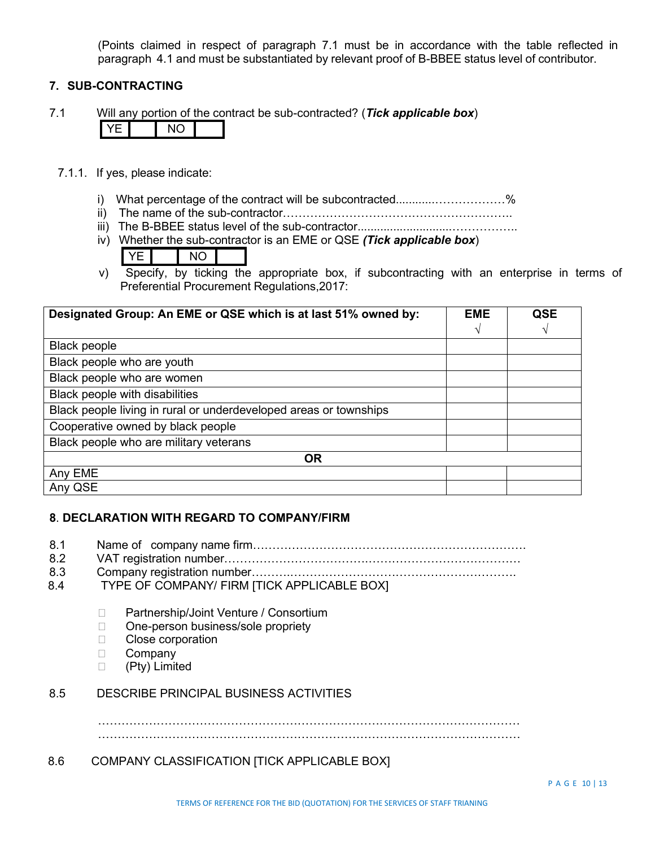(Points claimed in respect of paragraph 7.1 must be in accordance with the table reflected in paragraph 4.1 and must be substantiated by relevant proof of B-BBEE status level of contributor.

#### **7. SUB-CONTRACTING**

7.1 Will any portion of the contract be sub-contracted? (*Tick applicable box*)

- 7.1.1. If yes, please indicate:
	- i) What percentage of the contract will be subcontracted..........................%
	- ii) The name of the sub-contractor…………………………………………………..
	- iii) The B-BBEE status level of the sub-contractor.............................……………..
	- iv) Whether the sub-contractor is an EME or QSE *(Tick applicable box*)
		- YE I NO
	- v) Specify, by ticking the appropriate box, if subcontracting with an enterprise in terms of Preferential Procurement Regulations,2017:

| Designated Group: An EME or QSE which is at last 51% owned by:    | <b>EME</b> | QSE |
|-------------------------------------------------------------------|------------|-----|
|                                                                   | V          | V   |
| <b>Black people</b>                                               |            |     |
| Black people who are youth                                        |            |     |
| Black people who are women                                        |            |     |
| Black people with disabilities                                    |            |     |
| Black people living in rural or underdeveloped areas or townships |            |     |
| Cooperative owned by black people                                 |            |     |
| Black people who are military veterans                            |            |     |
| <b>OR</b>                                                         |            |     |
| Any EME                                                           |            |     |
| Any QSE                                                           |            |     |

## **8**. **DECLARATION WITH REGARD TO COMPANY/FIRM**

- 8.1 Name of company name firm…………………………………………………………….
- 8.2 VAT registration number……………………………….…………………………………
- 8.3 Company registration number……….………………………………………………….
- 8.4 TYPE OF COMPANY/ FIRM [TICK APPLICABLE BOX]
	- □ Partnership/Joint Venture / Consortium
	- □ One-person business/sole propriety
	- □ Close corporation
	- D Company
	- (Pty) Limited

#### 8.5 DESCRIBE PRINCIPAL BUSINESS ACTIVITIES

………………………………………………………………………………………………

………………………………………………………………………………………………

#### 8.6 COMPANY CLASSIFICATION [TICK APPLICABLE BOX]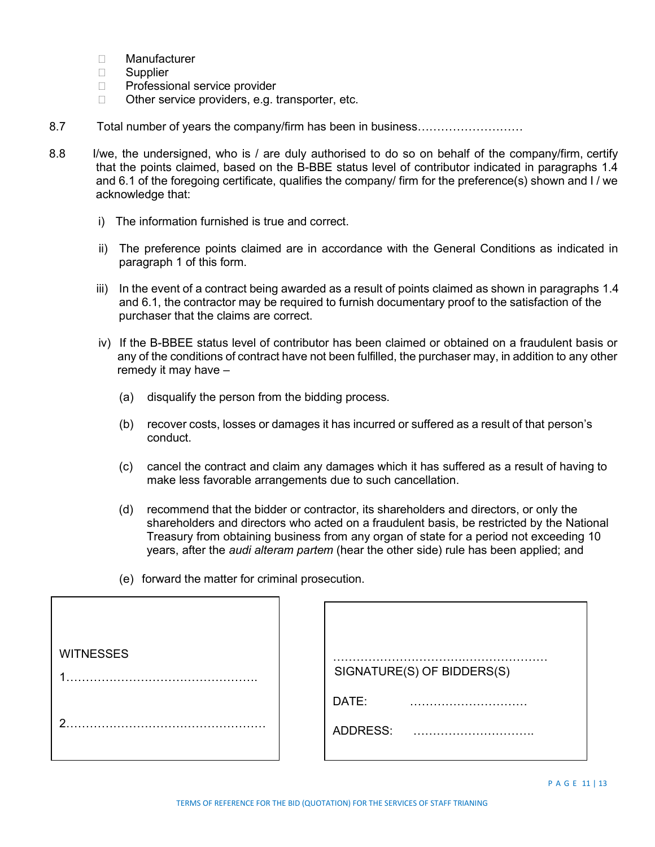- Manufacturer
- □ Supplier
- □ Professional service provider
- $\Box$  Other service providers, e.g. transporter, etc.
- 8.7 Total number of years the company/firm has been in business………………………
- 8.8 I/we, the undersigned, who is / are duly authorised to do so on behalf of the company/firm, certify that the points claimed, based on the B-BBE status level of contributor indicated in paragraphs 1.4 and 6.1 of the foregoing certificate, qualifies the company/ firm for the preference(s) shown and I / we acknowledge that:
	- i) The information furnished is true and correct.
	- ii) The preference points claimed are in accordance with the General Conditions as indicated in paragraph 1 of this form.
	- iii) In the event of a contract being awarded as a result of points claimed as shown in paragraphs 1.4 and 6.1, the contractor may be required to furnish documentary proof to the satisfaction of the purchaser that the claims are correct.
	- iv) If the B-BBEE status level of contributor has been claimed or obtained on a fraudulent basis or any of the conditions of contract have not been fulfilled, the purchaser may, in addition to any other remedy it may have –
		- (a) disqualify the person from the bidding process.
		- (b) recover costs, losses or damages it has incurred or suffered as a result of that person's conduct.
		- (c) cancel the contract and claim any damages which it has suffered as a result of having to make less favorable arrangements due to such cancellation.
		- (d) recommend that the bidder or contractor, its shareholders and directors, or only the shareholders and directors who acted on a fraudulent basis, be restricted by the National Treasury from obtaining business from any organ of state for a period not exceeding 10 years, after the *audi alteram partem* (hear the other side) rule has been applied; and
		- (e) forward the matter for criminal prosecution.

| <b>WITNESSES</b> | SIGNATURE(S) OF BIDDERS(S) |
|------------------|----------------------------|
| ◠                | DATE:<br>ADDRESS:          |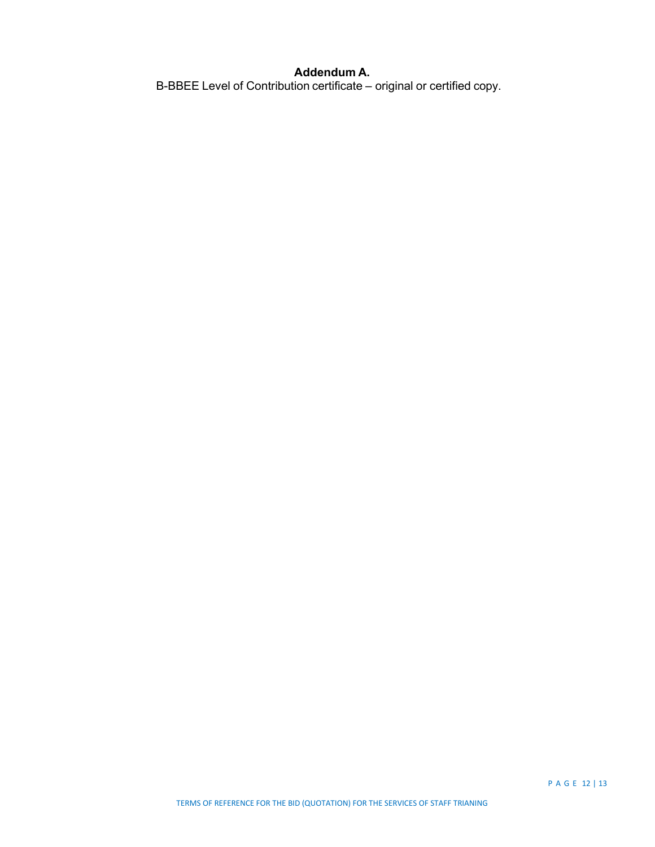#### **Addendum A.**

B-BBEE Level of Contribution certificate – original or certified copy.